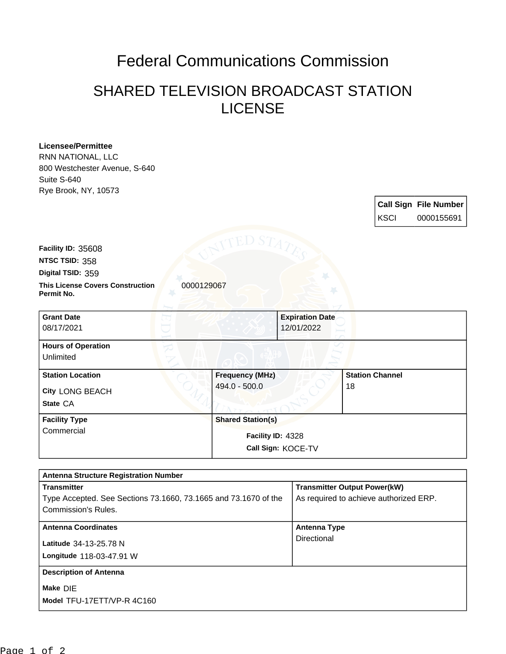## Federal Communications Commission

## SHARED TELEVISION BROADCAST STATION LICENSE

| <b>Licensee/Permittee</b>                             |                                         |                        |                        |                              |
|-------------------------------------------------------|-----------------------------------------|------------------------|------------------------|------------------------------|
| RNN NATIONAL, LLC<br>800 Westchester Avenue, S-640    |                                         |                        |                        |                              |
| Suite S-640                                           |                                         |                        |                        |                              |
| Rye Brook, NY, 10573                                  |                                         |                        |                        |                              |
|                                                       |                                         |                        |                        | <b>Call Sign File Number</b> |
|                                                       |                                         |                        | <b>KSCI</b>            | 0000155691                   |
| Facility ID: 35608                                    |                                         |                        |                        |                              |
| NTSC TSID: 358                                        |                                         |                        |                        |                              |
| Digital TSID: 359                                     |                                         |                        |                        |                              |
| <b>This License Covers Construction</b><br>Permit No. | 0000129067                              |                        |                        |                              |
| <b>Grant Date</b>                                     |                                         | <b>Expiration Date</b> |                        |                              |
| 08/17/2021                                            |                                         | 12/01/2022             |                        |                              |
| <b>Hours of Operation</b><br>Unlimited                |                                         |                        |                        |                              |
|                                                       |                                         |                        |                        |                              |
| <b>Station Location</b>                               | <b>Frequency (MHz)</b><br>494.0 - 500.0 |                        | <b>Station Channel</b> |                              |
| City LONG BEACH                                       |                                         |                        | 18                     |                              |
| State CA                                              |                                         |                        |                        |                              |
| <b>Facility Type</b>                                  | <b>Shared Station(s)</b>                |                        |                        |                              |
| Commercial                                            | Facility ID: 4328                       |                        |                        |                              |
|                                                       |                                         | Call Sign: KOCE-TV     |                        |                              |
|                                                       |                                         |                        |                        |                              |
| <b>Antenna Structure Registration Number</b>          |                                         |                        |                        |                              |

| <b>Transmitter</b>                                              | <b>Transmitter Output Power(kW)</b>    |
|-----------------------------------------------------------------|----------------------------------------|
| Type Accepted. See Sections 73.1660, 73.1665 and 73.1670 of the | As required to achieve authorized ERP. |
| Commission's Rules.                                             |                                        |
| <b>Antenna Coordinates</b>                                      | <b>Antenna Type</b>                    |
| Latitude 34-13-25.78 N                                          | Directional                            |
| Longitude 118-03-47.91 W                                        |                                        |
|                                                                 |                                        |
| <b>Description of Antenna</b>                                   |                                        |
| Make DIE                                                        |                                        |
| Model TFU-17ETT/VP-R 4C160                                      |                                        |
|                                                                 |                                        |